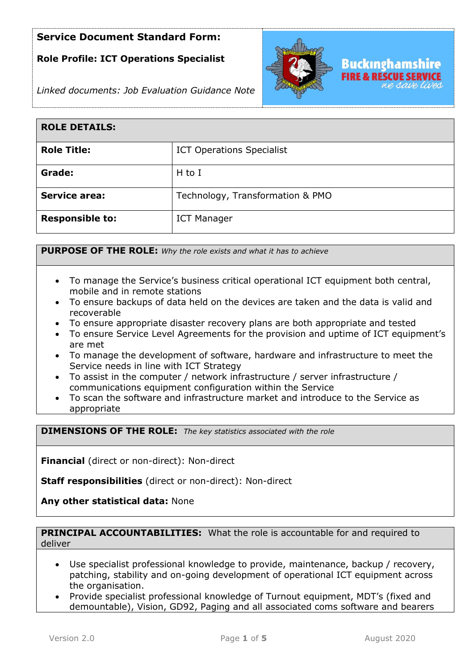## **Role Profile: ICT Operations Specialist**



*Linked documents: Job Evaluation Guidance Note*

| <b>ROLE DETAILS:</b>   |                                  |
|------------------------|----------------------------------|
| <b>Role Title:</b>     | <b>ICT Operations Specialist</b> |
| Grade:                 | $H$ to I                         |
| <b>Service area:</b>   | Technology, Transformation & PMO |
| <b>Responsible to:</b> | <b>ICT Manager</b>               |

**PURPOSE OF THE ROLE:** *Why the role exists and what it has to achieve* 

- To manage the Service's business critical operational ICT equipment both central, mobile and in remote stations
- To ensure backups of data held on the devices are taken and the data is valid and recoverable
- To ensure appropriate disaster recovery plans are both appropriate and tested
- To ensure Service Level Agreements for the provision and uptime of ICT equipment's are met
- To manage the development of software, hardware and infrastructure to meet the Service needs in line with ICT Strategy
- To assist in the computer / network infrastructure / server infrastructure / communications equipment configuration within the Service
- To scan the software and infrastructure market and introduce to the Service as appropriate

**DIMENSIONS OF THE ROLE:** *The key statistics associated with the role*

**Financial** (direct or non-direct): Non-direct

**Staff responsibilities** (direct or non-direct): Non-direct

**Any other statistical data:** None

**PRINCIPAL ACCOUNTABILITIES:** What the role is accountable for and required to deliver

- Use specialist professional knowledge to provide, maintenance, backup / recovery, patching, stability and on-going development of operational ICT equipment across the organisation.
- Provide specialist professional knowledge of Turnout equipment, MDT's (fixed and demountable), Vision, GD92, Paging and all associated coms software and bearers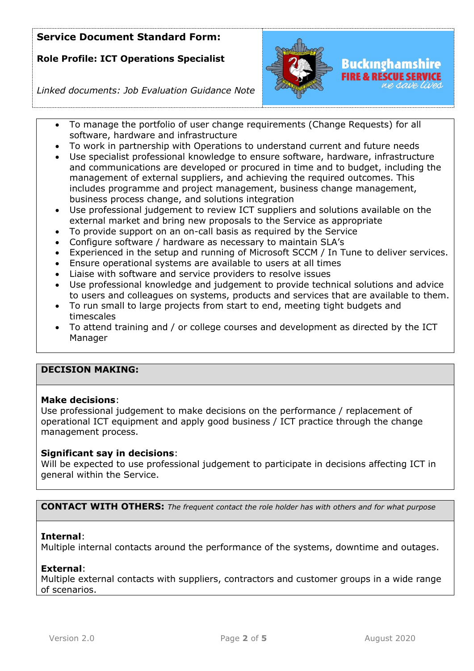### **Role Profile: ICT Operations Specialist**



*Linked documents: Job Evaluation Guidance Note*

- To manage the portfolio of user change requirements (Change Requests) for all software, hardware and infrastructure
- To work in partnership with Operations to understand current and future needs
- Use specialist professional knowledge to ensure software, hardware, infrastructure and communications are developed or procured in time and to budget, including the management of external suppliers, and achieving the required outcomes. This includes programme and project management, business change management, business process change, and solutions integration
- Use professional judgement to review ICT suppliers and solutions available on the external market and bring new proposals to the Service as appropriate
- To provide support on an on-call basis as required by the Service
- Configure software / hardware as necessary to maintain SLA's
- Experienced in the setup and running of Microsoft SCCM / In Tune to deliver services.
- Ensure operational systems are available to users at all times
- Liaise with software and service providers to resolve issues
- Use professional knowledge and judgement to provide technical solutions and advice to users and colleagues on systems, products and services that are available to them.
- To run small to large projects from start to end, meeting tight budgets and timescales
- To attend training and / or college courses and development as directed by the ICT Manager

## **DECISION MAKING:**

## **Make decisions**:

Use professional judgement to make decisions on the performance / replacement of operational ICT equipment and apply good business / ICT practice through the change management process.

## **Significant say in decisions**:

Will be expected to use professional judgement to participate in decisions affecting ICT in general within the Service.

**CONTACT WITH OTHERS:** *The frequent contact the role holder has with others and for what purpose* 

## **Internal**:

Multiple internal contacts around the performance of the systems, downtime and outages.

### **External**:

Multiple external contacts with suppliers, contractors and customer groups in a wide range of scenarios.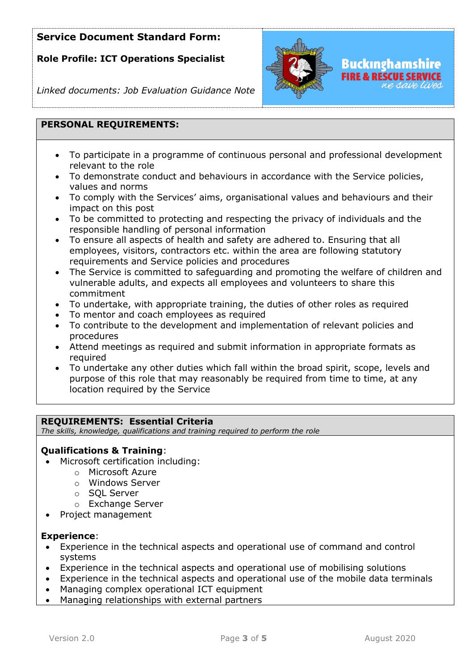# **Role Profile: ICT Operations Specialist**



*Linked documents: Job Evaluation Guidance Note*

### **PERSONAL REQUIREMENTS:**

- To participate in a programme of continuous personal and professional development relevant to the role
- To demonstrate conduct and behaviours in accordance with the Service policies, values and norms
- To comply with the Services' aims, organisational values and behaviours and their impact on this post
- To be committed to protecting and respecting the privacy of individuals and the responsible handling of personal information
- To ensure all aspects of health and safety are adhered to. Ensuring that all employees, visitors, contractors etc. within the area are following statutory requirements and Service policies and procedures
- The Service is committed to safeguarding and promoting the welfare of children and vulnerable adults, and expects all employees and volunteers to share this commitment
- To undertake, with appropriate training, the duties of other roles as required
- To mentor and coach employees as required
- To contribute to the development and implementation of relevant policies and procedures
- Attend meetings as required and submit information in appropriate formats as required
- To undertake any other duties which fall within the broad spirit, scope, levels and purpose of this role that may reasonably be required from time to time, at any location required by the Service

#### **REQUIREMENTS: Essential Criteria**

*The skills, knowledge, qualifications and training required to perform the role*

### **Qualifications & Training**:

- Microsoft certification including:
	- o Microsoft Azure
	- o Windows Server
	- o SQL Server
	- o Exchange Server
- Project management

#### **Experience**:

- Experience in the technical aspects and operational use of command and control systems
- Experience in the technical aspects and operational use of mobilising solutions
- Experience in the technical aspects and operational use of the mobile data terminals
- Managing complex operational ICT equipment
- Managing relationships with external partners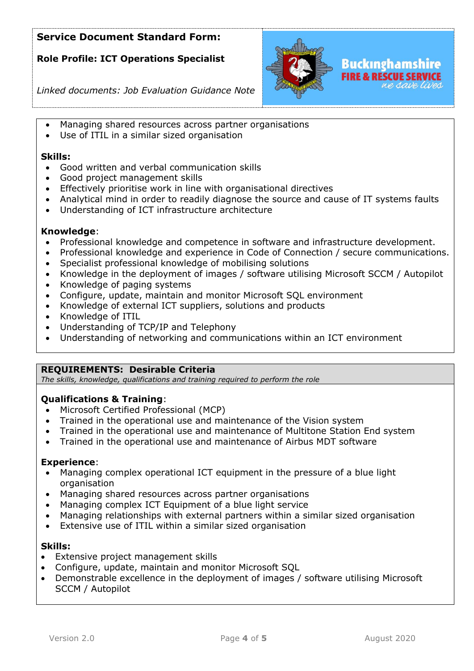## **Role Profile: ICT Operations Specialist**



*Linked documents: Job Evaluation Guidance Note*

- Managing shared resources across partner organisations
- Use of ITIL in a similar sized organisation

#### **Skills:**

- Good written and verbal communication skills
- Good project management skills
- Effectively prioritise work in line with organisational directives
- Analytical mind in order to readily diagnose the source and cause of IT systems faults
- Understanding of ICT infrastructure architecture

#### **Knowledge**:

- Professional knowledge and competence in software and infrastructure development.
- Professional knowledge and experience in Code of Connection / secure communications.
- Specialist professional knowledge of mobilising solutions
- Knowledge in the deployment of images / software utilising Microsoft SCCM / Autopilot
- Knowledge of paging systems
- Configure, update, maintain and monitor Microsoft SQL environment
- Knowledge of external ICT suppliers, solutions and products
- Knowledge of ITIL
- Understanding of TCP/IP and Telephony
- Understanding of networking and communications within an ICT environment

### **REQUIREMENTS: Desirable Criteria**

*The skills, knowledge, qualifications and training required to perform the role*

### **Qualifications & Training**:

- Microsoft Certified Professional (MCP)
- Trained in the operational use and maintenance of the Vision system
- Trained in the operational use and maintenance of Multitone Station End system
- Trained in the operational use and maintenance of Airbus MDT software

#### **Experience**:

- Managing complex operational ICT equipment in the pressure of a blue light organisation
- Managing shared resources across partner organisations
- Managing complex ICT Equipment of a blue light service
- Managing relationships with external partners within a similar sized organisation
- Extensive use of ITIL within a similar sized organisation

#### **Skills:**

- Extensive project management skills
- Configure, update, maintain and monitor Microsoft SQL
- Demonstrable excellence in the deployment of images / software utilising Microsoft SCCM / Autopilot